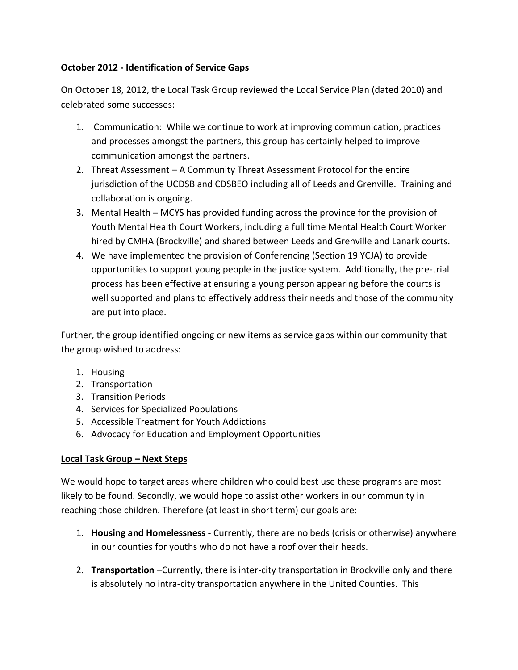## **October 2012 - Identification of Service Gaps**

On October 18, 2012, the Local Task Group reviewed the Local Service Plan (dated 2010) and celebrated some successes:

- 1. Communication: While we continue to work at improving communication, practices and processes amongst the partners, this group has certainly helped to improve communication amongst the partners.
- 2. Threat Assessment A Community Threat Assessment Protocol for the entire jurisdiction of the UCDSB and CDSBEO including all of Leeds and Grenville. Training and collaboration is ongoing.
- 3. Mental Health MCYS has provided funding across the province for the provision of Youth Mental Health Court Workers, including a full time Mental Health Court Worker hired by CMHA (Brockville) and shared between Leeds and Grenville and Lanark courts.
- 4. We have implemented the provision of Conferencing (Section 19 YCJA) to provide opportunities to support young people in the justice system. Additionally, the pre-trial process has been effective at ensuring a young person appearing before the courts is well supported and plans to effectively address their needs and those of the community are put into place.

Further, the group identified ongoing or new items as service gaps within our community that the group wished to address:

- 1. Housing
- 2. Transportation
- 3. Transition Periods
- 4. Services for Specialized Populations
- 5. Accessible Treatment for Youth Addictions
- 6. Advocacy for Education and Employment Opportunities

## **Local Task Group – Next Steps**

We would hope to target areas where children who could best use these programs are most likely to be found. Secondly, we would hope to assist other workers in our community in reaching those children. Therefore (at least in short term) our goals are:

- 1. **Housing and Homelessness**  Currently, there are no beds (crisis or otherwise) anywhere in our counties for youths who do not have a roof over their heads.
- 2. **Transportation** –Currently, there is inter-city transportation in Brockville only and there is absolutely no intra-city transportation anywhere in the United Counties. This